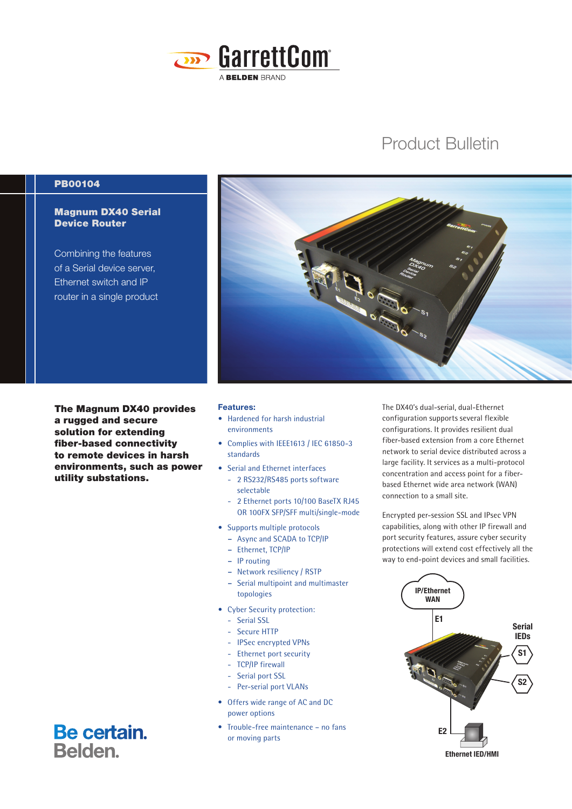

# Product Bulletin

## PB00104

## Magnum DX40 Serial Device Router

Combining the features of a Serial device server, Ethernet switch and IP router in a single product

The Magnum DX40 provides a rugged and secure solution for extending fiber-based connectivity to remote devices in harsh environments, such as power utility substations.



#### Features:

- **•** Hardened for harsh industrial environments
- **•** Complies with IEEE1613 / IEC 61850-3 standards
- **•** Serial and Ethernet interfaces
	- 2 RS232/RS485 ports software selectable
	- 2 Ethernet ports 10/100 BaseTX RJ45 OR 100FX SFP/SFF multi/single-mode
- **•** Supports multiple protocols
	- **–** Async and SCADA to TCP/IP
	- **–** Ethernet, TCP/IP
	- **–** IP routing
	- **–** Network resiliency / RSTP
	- **–** Serial multipoint and multimaster topologies
- **•** Cyber Security protection:
	- Serial SSL
	- Secure HTTP
	- IPSec encrypted VPNs
	- Ethernet port security
	- TCP/IP firewall
	- Serial port SSL
	- Per-serial port VLANs
- Offers wide range of AC and DC power options
- Trouble-free maintenance no fans or moving parts

The DX40's dual-serial, dual-Ethernet configuration supports several flexible configurations. It provides resilient dual fiber-based extension from a core Ethernet network to serial device distributed across a large facility. It services as a multi-protocol concentration and access point for a fiberbased Ethernet wide area network (WAN) connection to a small site.

Encrypted per-session SSL and IPsec VPN capabilities, along with other IP firewall and port security features, assure cyber security protections will extend cost effectively all the way to end-point devices and small facilities.



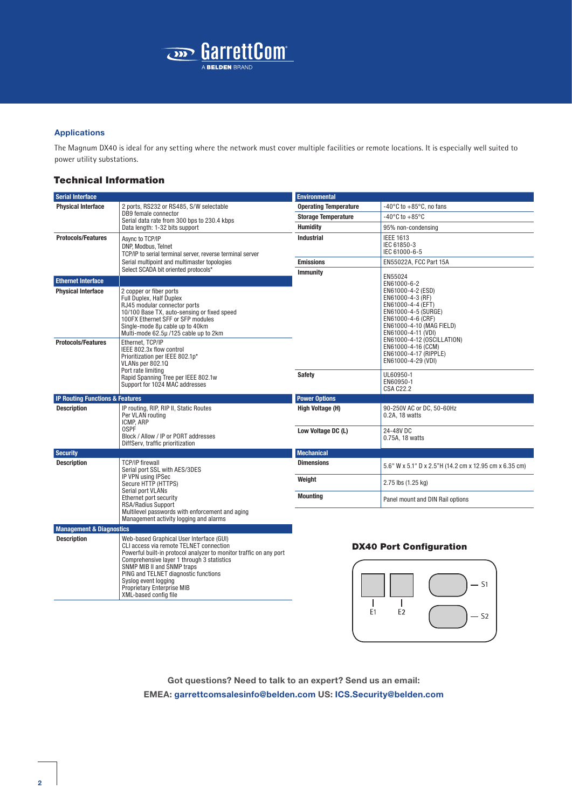

#### Applications

The Magnum DX40 is ideal for any setting where the network must cover multiple facilities or remote locations. It is especially well suited to power utility substations.

### Technical Information

**Description**<br>
Web-based Graphical User Interface (GUI)<br>
CLI access via remote TELNET connection<br>
Powerful built-in protocol analyzer to monitor traffic on any port<br>
Comprehensive layer 1 through 3 statistics<br>
SNMP MIB II

| <b>Serial Interface</b>                                                                       |                                                                                                                                                                                                                                                    | <b>Environmental</b>         |                                                                                                                                                                                                       |  |  |  |
|-----------------------------------------------------------------------------------------------|----------------------------------------------------------------------------------------------------------------------------------------------------------------------------------------------------------------------------------------------------|------------------------------|-------------------------------------------------------------------------------------------------------------------------------------------------------------------------------------------------------|--|--|--|
| <b>Physical Interface</b>                                                                     | 2 ports, RS232 or RS485, S/W selectable                                                                                                                                                                                                            | <b>Operating Temperature</b> | -40 $\degree$ C to +85 $\degree$ C, no fans                                                                                                                                                           |  |  |  |
|                                                                                               | DB9 female connector<br>Serial data rate from 300 bps to 230.4 kbps                                                                                                                                                                                | <b>Storage Temperature</b>   | $-40^{\circ}$ C to $+85^{\circ}$ C                                                                                                                                                                    |  |  |  |
|                                                                                               | Data length: 1-32 bits support                                                                                                                                                                                                                     | <b>Humidity</b>              | 95% non-condensing                                                                                                                                                                                    |  |  |  |
| <b>Protocols/Features</b>                                                                     | Async to TCP/IP<br>DNP, Modbus, Telnet<br>TCP/IP to serial terminal server, reverse terminal server                                                                                                                                                | <b>Industrial</b>            | <b>IEEE 1613</b><br>IEC 61850-3<br>IEC 61000-6-5                                                                                                                                                      |  |  |  |
|                                                                                               | Serial multipoint and multimaster topologies                                                                                                                                                                                                       | <b>Emissions</b>             | EN55022A, FCC Part 15A                                                                                                                                                                                |  |  |  |
|                                                                                               | Select SCADA bit oriented protocols*                                                                                                                                                                                                               | <b>Immunity</b>              | EN55024                                                                                                                                                                                               |  |  |  |
| <b>Ethernet Interface</b><br><b>Physical Interface</b>                                        | 2 copper or fiber ports<br>Full Duplex, Half Duplex<br>RJ45 modular connector ports<br>10/100 Base TX, auto-sensing or fixed speed<br>100FX Ethernet SFF or SFP modules<br>Single-mode 8µ cable up to 40km<br>Multi-mode 62.5µ/125 cable up to 2km |                              | EN61000-6-2<br>EN61000-4-2 (ESD)<br>EN61000-4-3 (RF)<br>EN61000-4-4 (EFT)<br>EN61000-4-5 (SURGE)<br>EN61000-4-6 (CRF)<br>EN61000-4-10 (MAG FIELD)<br>EN61000-4-11 (VDI)<br>EN61000-4-12 (OSCILLATION) |  |  |  |
| <b>Protocols/Features</b>                                                                     | Ethernet. TCP/IP<br>IEEE 802.3x flow control<br>Prioritization per IEEE 802.1p*<br>VLANs per 802.10<br>Port rate limiting<br>Rapid Spanning Tree per IEEE 802.1w<br>Support for 1024 MAC addresses                                                 | <b>Safety</b>                | EN61000-4-16 (CCM)<br>EN61000-4-17 (RIPPLE)<br>EN61000-4-29 (VDI)<br>UL60950-1<br>EN60950-1<br><b>CSA C22.2</b>                                                                                       |  |  |  |
| <b>IP Routing Functions &amp; Features</b>                                                    |                                                                                                                                                                                                                                                    | <b>Power Options</b>         |                                                                                                                                                                                                       |  |  |  |
| <b>Description</b><br>IP routing, RIP, RIP II, Static Routes<br>Per VLAN routing<br>ICMP, ARP |                                                                                                                                                                                                                                                    | High Voltage (H)             | 90-250V AC or DC, 50-60Hz<br>0.2A, 18 watts                                                                                                                                                           |  |  |  |
|                                                                                               | 0SPF<br>Block / Allow / IP or PORT addresses<br>DiffServ, traffic prioritization                                                                                                                                                                   | Low Voltage DC (L)           | 24-48V DC<br>0.75A, 18 watts                                                                                                                                                                          |  |  |  |
| <b>Security</b>                                                                               |                                                                                                                                                                                                                                                    | <b>Mechanical</b>            |                                                                                                                                                                                                       |  |  |  |
| <b>Description</b>                                                                            | <b>TCP/IP firewall</b><br>Serial port SSL with AES/3DES<br>IP VPN using IPSec<br>Secure HTTP (HTTPS)<br>Serial port VLANs<br>Ethernet port security<br><b>RSA/Radius Support</b>                                                                   | <b>Dimensions</b>            | 5.6" W x 5.1" D x 2.5"H (14.2 cm x 12.95 cm x 6.35 cm)                                                                                                                                                |  |  |  |
|                                                                                               |                                                                                                                                                                                                                                                    | Weight                       | 2.75 lbs (1.25 kg)<br>Panel mount and DIN Rail options                                                                                                                                                |  |  |  |
|                                                                                               |                                                                                                                                                                                                                                                    | <b>Mounting</b>              |                                                                                                                                                                                                       |  |  |  |
| <b>Management &amp; Diagnostics</b>                                                           | Multilevel passwords with enforcement and aging<br>Management activity logging and alarms                                                                                                                                                          |                              |                                                                                                                                                                                                       |  |  |  |
|                                                                                               |                                                                                                                                                                                                                                                    |                              |                                                                                                                                                                                                       |  |  |  |

#### DX40 Port Configuration



Got questions? Need to talk to an expert? Send us an email: EMEA: garrettcomsalesinfo@belden.com US: ICS.Security@belden.com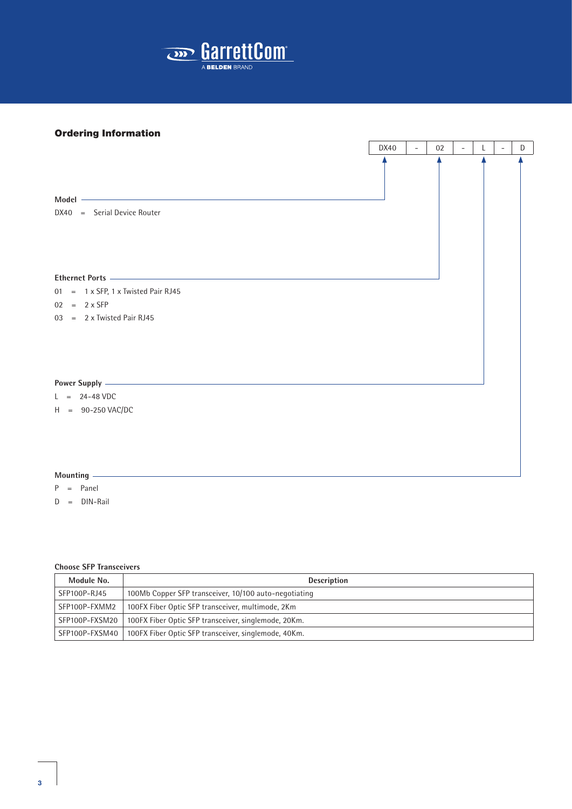

## Ordering Information

|                                                                                                                                                                                                                                      | DX40 | $\overline{\phantom{a}}$ | 02 | $\equiv$ | L. | $\overline{\phantom{a}}$ | D |
|--------------------------------------------------------------------------------------------------------------------------------------------------------------------------------------------------------------------------------------|------|--------------------------|----|----------|----|--------------------------|---|
| <u> 1980 - Johann Barbara, martxa alemaniar argumento este alemaniar alemaniar alemaniar alemaniar alemaniar al</u><br>Model -<br>DX40 = Serial Device Router                                                                        |      |                          |    |          |    |                          |   |
|                                                                                                                                                                                                                                      |      |                          |    |          |    |                          |   |
| Ethernet Ports <u>experience</u> and the contract of the contract of the contract of the contract of the contract of the contract of the contract of the contract of the contract of the contract of the contract of the contract o  |      |                          |    |          |    |                          |   |
| $01 = 1 \times SFP$ , 1 x Twisted Pair RJ45                                                                                                                                                                                          |      |                          |    |          |    |                          |   |
| $02 = 2 \times SFP$                                                                                                                                                                                                                  |      |                          |    |          |    |                          |   |
| $03 = 2 \times$ Twisted Pair RJ45                                                                                                                                                                                                    |      |                          |    |          |    |                          |   |
| Power Supply <u>experience and the set of the set of the set of the set of the set of the set of the set of the set of the set of the set of the set of the set of the set of the set of the set of the set of the set of the se</u> |      |                          |    |          |    |                          |   |
| $L = 24-48$ VDC                                                                                                                                                                                                                      |      |                          |    |          |    |                          |   |
| $H = 90-250$ VAC/DC                                                                                                                                                                                                                  |      |                          |    |          |    |                          |   |
|                                                                                                                                                                                                                                      |      |                          |    |          |    |                          |   |

 $\overline{a}$ 

 $\overline{\phantom{a}}$ 

 $\overline{a}$ 

 $\overline{1}$   $\overline{1}$   $\overline{1}$   $\overline{1}$   $\overline{1}$   $\overline{1}$   $\overline{1}$   $\overline{1}$   $\overline{1}$   $\overline{1}$   $\overline{1}$   $\overline{1}$   $\overline{1}$   $\overline{1}$   $\overline{1}$   $\overline{1}$   $\overline{1}$   $\overline{1}$   $\overline{1}$   $\overline{1}$   $\overline{1}$   $\overline{1}$   $\overline{1}$   $\overline{1}$   $\overline{$ 

٦

- P = Panel
- D = DIN-Rail

#### **Choose SFP Transceivers**

| Module No.     | <b>Description</b>                                    |
|----------------|-------------------------------------------------------|
| SFP100P-RJ45   | 100Mb Copper SFP transceiver, 10/100 auto-negotiating |
| SFP100P-FXMM2  | 100FX Fiber Optic SFP transceiver, multimode, 2Km     |
| SFP100P-FXSM20 | 100FX Fiber Optic SFP transceiver, singlemode, 20Km.  |
| SFP100P-FXSM40 | 100FX Fiber Optic SFP transceiver, singlemode, 40Km.  |